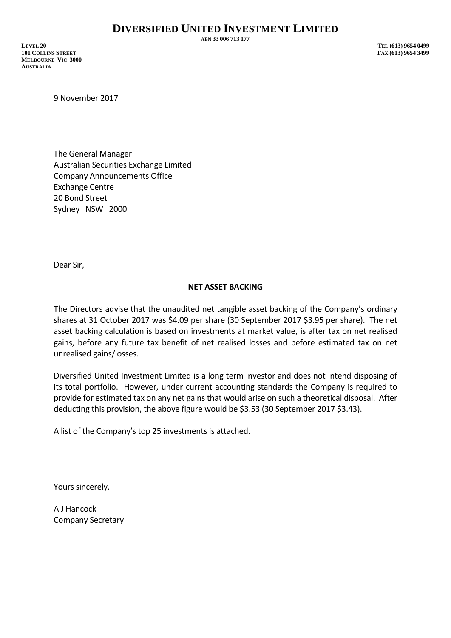**ABN 33 006 713 177**

**LEVEL 20 TEL (613) 9654 0499 101 COLLINS STREET FAX (613) 9654 3499 MELBOURNE VIC 3000 AUSTRALIA**

9 November 2017

The General Manager Australian Securities Exchange Limited Company Announcements Office Exchange Centre 20 Bond Street Sydney NSW 2000

Dear Sir,

## **NET ASSET BACKING**

The Directors advise that the unaudited net tangible asset backing of the Company's ordinary shares at 31 October 2017 was \$4.09 per share (30 September 2017 \$3.95 per share). The net asset backing calculation is based on investments at market value, is after tax on net realised gains, before any future tax benefit of net realised losses and before estimated tax on net unrealised gains/losses.

Diversified United Investment Limited is a long term investor and does not intend disposing of its total portfolio. However, under current accounting standards the Company is required to provide for estimated tax on any net gains that would arise on such a theoretical disposal. After deducting this provision, the above figure would be \$3.53 (30 September 2017 \$3.43).

A list of the Company's top 25 investments is attached.

Yours sincerely,

A J Hancock Company Secretary